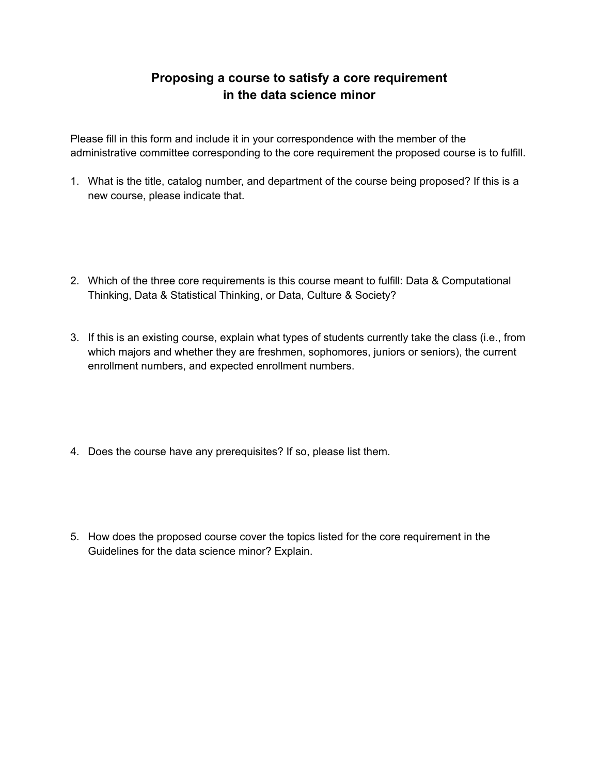## **Proposing a course to satisfy a core requirement in the data science minor**

Please fill in this form and include it in your correspondence with the member of the administrative committee corresponding to the core requirement the proposed course is to fulfill.

- 1. What is the title, catalog number, and department of the course being proposed? If this is a new course, please indicate that.
- 2. Which of the three core requirements is this course meant to fulfill: Data & Computational Thinking, Data & Statistical Thinking, or Data, Culture & Society?
- 3. If this is an existing course, explain what types of students currently take the class (i.e., from which majors and whether they are freshmen, sophomores, juniors or seniors), the current enrollment numbers, and expected enrollment numbers.
- 4. Does the course have any prerequisites? If so, please list them.
- 5. How does the proposed course cover the topics listed for the core requirement in the Guidelines for the data science minor? Explain.